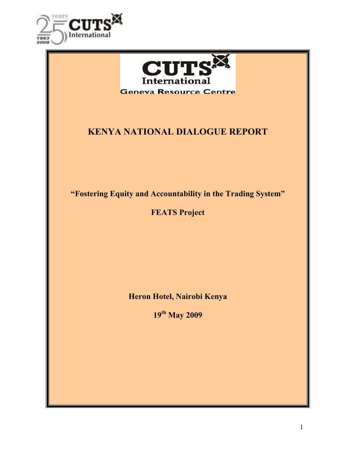



# KENYA NATIONAL DIALOGUE REPORT

"Fostering Equity and Accountability in the Trading System"

FEATS Project

Heron Hotel, Nairobi Kenya

19th May 2009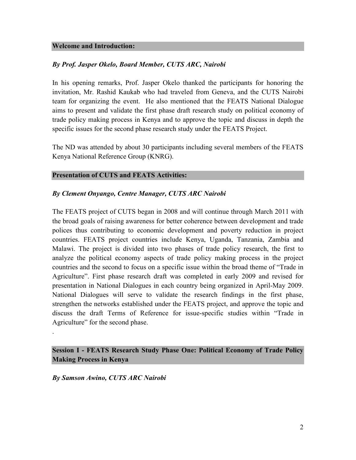#### Welcome and Introduction:

#### By Prof. Jasper Okelo, Board Member, CUTS ARC, Nairobi

In his opening remarks, Prof. Jasper Okelo thanked the participants for honoring the invitation, Mr. Rashid Kaukab who had traveled from Geneva, and the CUTS Nairobi team for organizing the event. He also mentioned that the FEATS National Dialogue aims to present and validate the first phase draft research study on political economy of trade policy making process in Kenya and to approve the topic and discuss in depth the specific issues for the second phase research study under the FEATS Project.

The ND was attended by about 30 participants including several members of the FEATS Kenya National Reference Group (KNRG).

#### Presentation of CUTS and FEATS Activities:

#### By Clement Onyango, Centre Manager, CUTS ARC Nairobi

The FEATS project of CUTS began in 2008 and will continue through March 2011 with the broad goals of raising awareness for better coherence between development and trade polices thus contributing to economic development and poverty reduction in project countries. FEATS project countries include Kenya, Uganda, Tanzania, Zambia and Malawi. The project is divided into two phases of trade policy research, the first to analyze the political economy aspects of trade policy making process in the project countries and the second to focus on a specific issue within the broad theme of "Trade in Agriculture". First phase research draft was completed in early 2009 and revised for presentation in National Dialogues in each country being organized in April-May 2009. National Dialogues will serve to validate the research findings in the first phase, strengthen the networks established under the FEATS project, and approve the topic and discuss the draft Terms of Reference for issue-specific studies within "Trade in Agriculture" for the second phase.

## Session I - FEATS Research Study Phase One: Political Economy of Trade Policy Making Process in Kenya

By Samson Awino, CUTS ARC Nairobi

.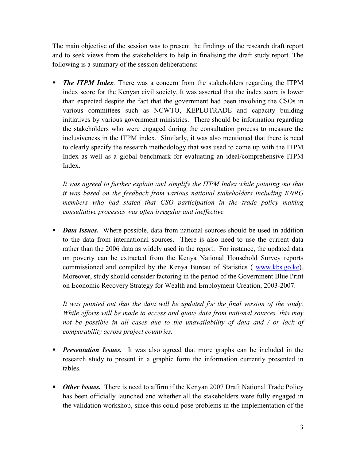The main objective of the session was to present the findings of the research draft report and to seek views from the stakeholders to help in finalising the draft study report. The following is a summary of the session deliberations:

 The ITPM Index. There was a concern from the stakeholders regarding the ITPM index score for the Kenyan civil society. It was asserted that the index score is lower than expected despite the fact that the government had been involving the CSOs in various committees such as NCWTO, KEPLOTRADE and capacity building initiatives by various government ministries. There should be information regarding the stakeholders who were engaged during the consultation process to measure the inclusiveness in the ITPM index. Similarly, it was also mentioned that there is need to clearly specify the research methodology that was used to come up with the ITPM Index as well as a global benchmark for evaluating an ideal/comprehensive ITPM Index.

It was agreed to further explain and simplify the ITPM Index while pointing out that it was based on the feedback from various national stakeholders including KNRG members who had stated that CSO participation in the trade policy making consultative processes was often irregular and ineffective.

**Data Issues.** Where possible, data from national sources should be used in addition to the data from international sources. There is also need to use the current data rather than the 2006 data as widely used in the report. For instance, the updated data on poverty can be extracted from the Kenya National Household Survey reports commissioned and compiled by the Kenya Bureau of Statistics ( www.kbs.go.ke). Moreover, study should consider factoring in the period of the Government Blue Print on Economic Recovery Strategy for Wealth and Employment Creation, 2003-2007.

It was pointed out that the data will be updated for the final version of the study. While efforts will be made to access and quote data from national sources, this may not be possible in all cases due to the unavailability of data and / or lack of comparability across project countries.

- **Presentation Issues.** It was also agreed that more graphs can be included in the research study to present in a graphic form the information currently presented in tables.
- Other Issues. There is need to affirm if the Kenyan 2007 Draft National Trade Policy has been officially launched and whether all the stakeholders were fully engaged in the validation workshop, since this could pose problems in the implementation of the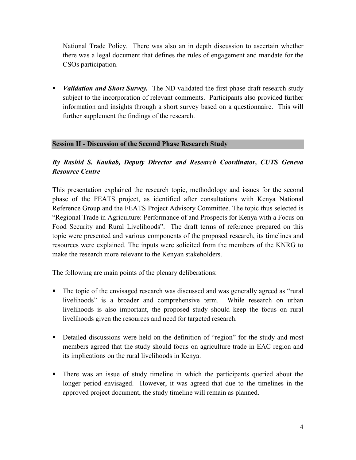National Trade Policy. There was also an in depth discussion to ascertain whether there was a legal document that defines the rules of engagement and mandate for the CSOs participation.

• *Validation and Short Survey*. The ND validated the first phase draft research study subject to the incorporation of relevant comments. Participants also provided further information and insights through a short survey based on a questionnaire. This will further supplement the findings of the research.

### Session II - Discussion of the Second Phase Research Study

# By Rashid S. Kaukab, Deputy Director and Research Coordinator, CUTS Geneva Resource Centre

This presentation explained the research topic, methodology and issues for the second phase of the FEATS project, as identified after consultations with Kenya National Reference Group and the FEATS Project Advisory Committee. The topic thus selected is "Regional Trade in Agriculture: Performance of and Prospects for Kenya with a Focus on Food Security and Rural Livelihoods". The draft terms of reference prepared on this topic were presented and various components of the proposed research, its timelines and resources were explained. The inputs were solicited from the members of the KNRG to make the research more relevant to the Kenyan stakeholders.

The following are main points of the plenary deliberations:

- The topic of the envisaged research was discussed and was generally agreed as "rural livelihoods" is a broader and comprehensive term. While research on urban livelihoods is also important, the proposed study should keep the focus on rural livelihoods given the resources and need for targeted research.
- Detailed discussions were held on the definition of "region" for the study and most members agreed that the study should focus on agriculture trade in EAC region and its implications on the rural livelihoods in Kenya.
- There was an issue of study timeline in which the participants queried about the longer period envisaged. However, it was agreed that due to the timelines in the approved project document, the study timeline will remain as planned.